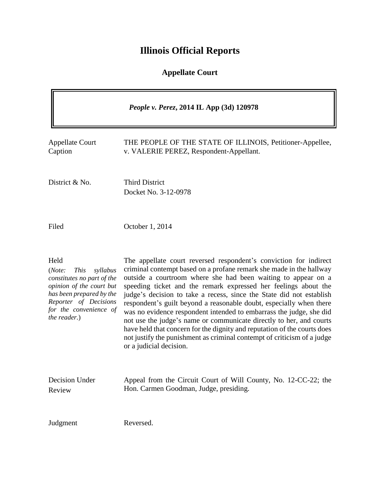# **Illinois Official Reports**

## **Appellate Court**

| <i>People v. Perez, 2014 IL App (3d) 120978</i>                                                                                                                                                    |                                                                                                                                                                                                                                                                                                                                                                                                                                                                                                                                                                                                                                                                                                                                                             |
|----------------------------------------------------------------------------------------------------------------------------------------------------------------------------------------------------|-------------------------------------------------------------------------------------------------------------------------------------------------------------------------------------------------------------------------------------------------------------------------------------------------------------------------------------------------------------------------------------------------------------------------------------------------------------------------------------------------------------------------------------------------------------------------------------------------------------------------------------------------------------------------------------------------------------------------------------------------------------|
| <b>Appellate Court</b><br>Caption                                                                                                                                                                  | THE PEOPLE OF THE STATE OF ILLINOIS, Petitioner-Appellee,<br>v. VALERIE PEREZ, Respondent-Appellant.                                                                                                                                                                                                                                                                                                                                                                                                                                                                                                                                                                                                                                                        |
| District & No.                                                                                                                                                                                     | <b>Third District</b><br>Docket No. 3-12-0978                                                                                                                                                                                                                                                                                                                                                                                                                                                                                                                                                                                                                                                                                                               |
| Filed                                                                                                                                                                                              | October 1, 2014                                                                                                                                                                                                                                                                                                                                                                                                                                                                                                                                                                                                                                                                                                                                             |
| Held<br>(Note:<br><b>This</b><br>syllabus<br>constitutes no part of the<br>opinion of the court but<br>has been prepared by the<br>Reporter of Decisions<br>for the convenience of<br>the reader.) | The appellate court reversed respondent's conviction for indirect<br>criminal contempt based on a profane remark she made in the hallway<br>outside a courtroom where she had been waiting to appear on a<br>speeding ticket and the remark expressed her feelings about the<br>judge's decision to take a recess, since the State did not establish<br>respondent's guilt beyond a reasonable doubt, especially when there<br>was no evidence respondent intended to embarrass the judge, she did<br>not use the judge's name or communicate directly to her, and courts<br>have held that concern for the dignity and reputation of the courts does<br>not justify the punishment as criminal contempt of criticism of a judge<br>or a judicial decision. |
| Decision Under<br>Review                                                                                                                                                                           | Appeal from the Circuit Court of Will County, No. 12-CC-22; the<br>Hon. Carmen Goodman, Judge, presiding.                                                                                                                                                                                                                                                                                                                                                                                                                                                                                                                                                                                                                                                   |
| Judgment                                                                                                                                                                                           | Reversed.                                                                                                                                                                                                                                                                                                                                                                                                                                                                                                                                                                                                                                                                                                                                                   |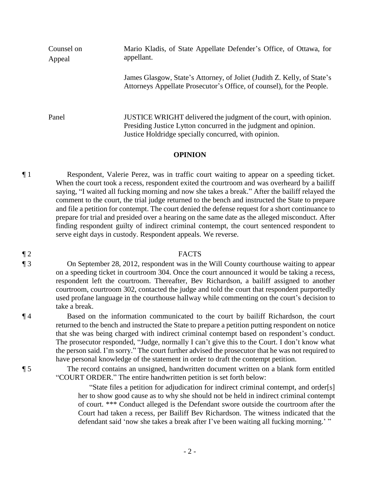Counsel on Appeal Mario Kladis, of State Appellate Defender's Office, of Ottawa, for appellant. James Glasgow, State's Attorney, of Joliet (Judith Z. Kelly, of State's Attorneys Appellate Prosecutor's Office, of counsel), for the People. Panel JUSTICE WRIGHT delivered the judgment of the court, with opinion. Presiding Justice Lytton concurred in the judgment and opinion. Justice Holdridge specially concurred, with opinion.

#### **OPINION**

¶ 1 Respondent, Valerie Perez, was in traffic court waiting to appear on a speeding ticket. When the court took a recess, respondent exited the courtroom and was overheard by a bailiff saying, "I waited all fucking morning and now she takes a break." After the bailiff relayed the comment to the court, the trial judge returned to the bench and instructed the State to prepare and file a petition for contempt. The court denied the defense request for a short continuance to prepare for trial and presided over a hearing on the same date as the alleged misconduct. After finding respondent guilty of indirect criminal contempt, the court sentenced respondent to serve eight days in custody. Respondent appeals. We reverse.

#### ¶ 2 FACTS

¶ 3 On September 28, 2012, respondent was in the Will County courthouse waiting to appear on a speeding ticket in courtroom 304. Once the court announced it would be taking a recess, respondent left the courtroom. Thereafter, Bev Richardson, a bailiff assigned to another courtroom, courtroom 302, contacted the judge and told the court that respondent purportedly used profane language in the courthouse hallway while commenting on the court's decision to take a break.

¶ 4 Based on the information communicated to the court by bailiff Richardson, the court returned to the bench and instructed the State to prepare a petition putting respondent on notice that she was being charged with indirect criminal contempt based on respondent's conduct. The prosecutor responded, "Judge, normally I can't give this to the Court. I don't know what the person said. I'm sorry." The court further advised the prosecutor that he was not required to have personal knowledge of the statement in order to draft the contempt petition.

¶ 5 The record contains an unsigned, handwritten document written on a blank form entitled "COURT ORDER." The entire handwritten petition is set forth below:

> "State files a petition for adjudication for indirect criminal contempt, and order[s] her to show good cause as to why she should not be held in indirect criminal contempt of court. \*\*\* Conduct alleged is the Defendant swore outside the courtroom after the Court had taken a recess, per Bailiff Bev Richardson. The witness indicated that the defendant said 'now she takes a break after I've been waiting all fucking morning.' "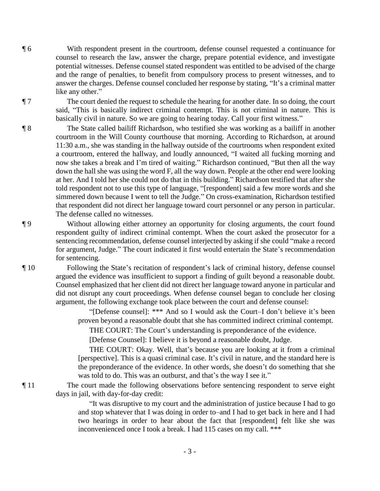¶ 6 With respondent present in the courtroom, defense counsel requested a continuance for counsel to research the law, answer the charge, prepare potential evidence, and investigate potential witnesses. Defense counsel stated respondent was entitled to be advised of the charge and the range of penalties, to benefit from compulsory process to present witnesses, and to answer the charges. Defense counsel concluded her response by stating, "It's a criminal matter like any other."

¶ 7 The court denied the request to schedule the hearing for another date. In so doing, the court said, "This is basically indirect criminal contempt. This is not criminal in nature. This is basically civil in nature. So we are going to hearing today. Call your first witness."

¶ 8 The State called bailiff Richardson, who testified she was working as a bailiff in another courtroom in the Will County courthouse that morning. According to Richardson, at around 11:30 a.m., she was standing in the hallway outside of the courtrooms when respondent exited a courtroom, entered the hallway, and loudly announced, "I waited all fucking morning and now she takes a break and I'm tired of waiting." Richardson continued, "But then all the way down the hall she was using the word F, all the way down. People at the other end were looking at her. And I told her she could not do that in this building." Richardson testified that after she told respondent not to use this type of language, "[respondent] said a few more words and she simmered down because I went to tell the Judge." On cross-examination, Richardson testified that respondent did not direct her language toward court personnel or any person in particular. The defense called no witnesses.

¶ 9 Without allowing either attorney an opportunity for closing arguments, the court found respondent guilty of indirect criminal contempt. When the court asked the prosecutor for a sentencing recommendation, defense counsel interjected by asking if she could "make a record for argument, Judge." The court indicated it first would entertain the State's recommendation for sentencing.

¶ 10 Following the State's recitation of respondent's lack of criminal history, defense counsel argued the evidence was insufficient to support a finding of guilt beyond a reasonable doubt. Counsel emphasized that her client did not direct her language toward anyone in particular and did not disrupt any court proceedings. When defense counsel began to conclude her closing argument, the following exchange took place between the court and defense counsel:

> "[Defense counsel]: \*\*\* And so I would ask the Court–I don't believe it's been proven beyond a reasonable doubt that she has committed indirect criminal contempt.

THE COURT: The Court's understanding is preponderance of the evidence.

[Defense Counsel]: I believe it is beyond a reasonable doubt, Judge.

THE COURT: Okay. Well, that's because you are looking at it from a criminal [perspective]. This is a quasi criminal case. It's civil in nature, and the standard here is the preponderance of the evidence. In other words, she doesn't do something that she was told to do. This was an outburst, and that's the way I see it."

¶ 11 The court made the following observations before sentencing respondent to serve eight days in jail, with day-for-day credit:

> "It was disruptive to my court and the administration of justice because I had to go and stop whatever that I was doing in order to–and I had to get back in here and I had two hearings in order to hear about the fact that [respondent] felt like she was inconvenienced once I took a break. I had 115 cases on my call. \*\*\*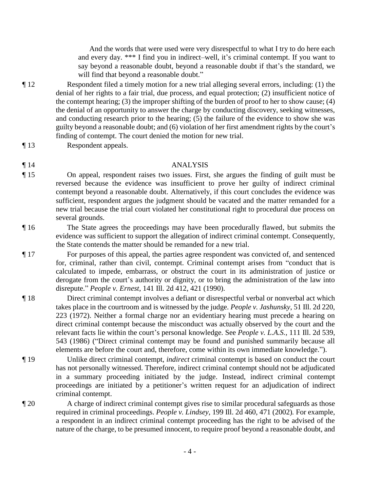And the words that were used were very disrespectful to what I try to do here each and every day. \*\*\* I find you in indirect–well, it's criminal contempt. If you want to say beyond a reasonable doubt, beyond a reasonable doubt if that's the standard, we will find that beyond a reasonable doubt."

¶ 12 Respondent filed a timely motion for a new trial alleging several errors, including: (1) the denial of her rights to a fair trial, due process, and equal protection; (2) insufficient notice of the contempt hearing; (3) the improper shifting of the burden of proof to her to show cause; (4) the denial of an opportunity to answer the charge by conducting discovery, seeking witnesses, and conducting research prior to the hearing; (5) the failure of the evidence to show she was guilty beyond a reasonable doubt; and (6) violation of her first amendment rights by the court's finding of contempt. The court denied the motion for new trial.

- ¶ 13 Respondent appeals.
- 
- 

### ¶ 14 ANALYSIS

¶ 15 On appeal, respondent raises two issues. First, she argues the finding of guilt must be reversed because the evidence was insufficient to prove her guilty of indirect criminal contempt beyond a reasonable doubt. Alternatively, if this court concludes the evidence was sufficient, respondent argues the judgment should be vacated and the matter remanded for a new trial because the trial court violated her constitutional right to procedural due process on several grounds.

- ¶ 16 The State agrees the proceedings may have been procedurally flawed, but submits the evidence was sufficient to support the allegation of indirect criminal contempt. Consequently, the State contends the matter should be remanded for a new trial.
- ¶ 17 For purposes of this appeal, the parties agree respondent was convicted of, and sentenced for, criminal, rather than civil, contempt. Criminal contempt arises from "conduct that is calculated to impede, embarrass, or obstruct the court in its administration of justice or derogate from the court's authority or dignity, or to bring the administration of the law into disrepute." *People v. Ernest*, 141 Ill. 2d 412, 421 (1990).
- ¶ 18 Direct criminal contempt involves a defiant or disrespectful verbal or nonverbal act which takes place in the courtroom and is witnessed by the judge. *People v. Jashunsky*, 51 Ill. 2d 220, 223 (1972). Neither a formal charge nor an evidentiary hearing must precede a hearing on direct criminal contempt because the misconduct was actually observed by the court and the relevant facts lie within the court's personal knowledge. See *People v. L.A.S.*, 111 Ill. 2d 539, 543 (1986) ("Direct criminal contempt may be found and punished summarily because all elements are before the court and, therefore, come within its own immediate knowledge.").
- ¶ 19 Unlike direct criminal contempt, *indirect* criminal contempt is based on conduct the court has not personally witnessed. Therefore, indirect criminal contempt should not be adjudicated in a summary proceeding initiated by the judge. Instead, indirect criminal contempt proceedings are initiated by a petitioner's written request for an adjudication of indirect criminal contempt.
- ¶ 20 A charge of indirect criminal contempt gives rise to similar procedural safeguards as those required in criminal proceedings. *People v. Lindsey*, 199 Ill. 2d 460, 471 (2002)*.* For example, a respondent in an indirect criminal contempt proceeding has the right to be advised of the nature of the charge, to be presumed innocent, to require proof beyond a reasonable doubt, and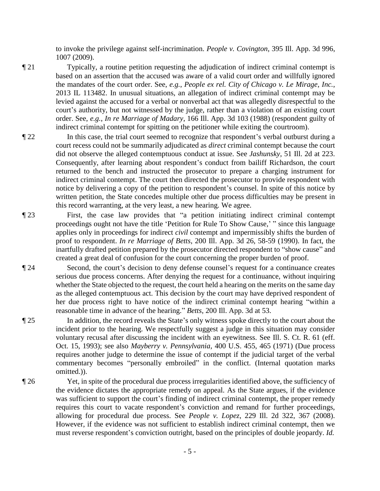to invoke the privilege against self-incrimination. *People v. Covington*, 395 Ill. App. 3d 996, 1007 (2009).

- ¶ 21 Typically, a routine petition requesting the adjudication of indirect criminal contempt is based on an assertion that the accused was aware of a valid court order and willfully ignored the mandates of the court order. See, *e.g.*, *People ex rel. City of Chicago v. Le Mirage*, *Inc.*, 2013 IL 113482. In unusual situations, an allegation of indirect criminal contempt may be levied against the accused for a verbal or nonverbal act that was allegedly disrespectful to the court's authority, but not witnessed by the judge, rather than a violation of an existing court order. See, *e.g.*, *In re Marriage of Madary*, 166 Ill. App. 3d 103 (1988) (respondent guilty of indirect criminal contempt for spitting on the petitioner while exiting the courtroom).
- ¶ 22 In this case, the trial court seemed to recognize that respondent's verbal outburst during a court recess could not be summarily adjudicated as *direct* criminal contempt because the court did not observe the alleged contemptuous conduct at issue. See *Jashunsky*, 51 Ill. 2d at 223. Consequently, after learning about respondent's conduct from bailiff Richardson, the court returned to the bench and instructed the prosecutor to prepare a charging instrument for indirect criminal contempt. The court then directed the prosecutor to provide respondent with notice by delivering a copy of the petition to respondent's counsel. In spite of this notice by written petition, the State concedes multiple other due process difficulties may be present in this record warranting, at the very least, a new hearing. We agree.
- ¶ 23 First, the case law provides that "a petition initiating indirect criminal contempt proceedings ought not have the title 'Petition for Rule To Show Cause,' " since this language applies only in proceedings for indirect *civil* contempt and impermissibly shifts the burden of proof to respondent. *In re Marriage of Betts*, 200 Ill. App. 3d 26, 58-59 (1990). In fact, the inartfully drafted petition prepared by the prosecutor directed respondent to "show cause" and created a great deal of confusion for the court concerning the proper burden of proof.
- ¶ 24 Second, the court's decision to deny defense counsel's request for a continuance creates serious due process concerns. After denying the request for a continuance, without inquiring whether the State objected to the request, the court held a hearing on the merits on the same day as the alleged contemptuous act. This decision by the court may have deprived respondent of her due process right to have notice of the indirect criminal contempt hearing "within a reasonable time in advance of the hearing." *Betts*, 200 Ill. App. 3d at 53.
- ¶ 25 In addition, the record reveals the State's only witness spoke directly to the court about the incident prior to the hearing. We respectfully suggest a judge in this situation may consider voluntary recusal after discussing the incident with an eyewitness. See Ill. S. Ct. R. 61 (eff. Oct. 15, 1993); see also *Mayberry v. Pennsylvania*, 400 U.S. 455, 465 (1971) (Due process requires another judge to determine the issue of contempt if the judicial target of the verbal commentary becomes "personally embroiled" in the conflict. (Internal quotation marks omitted.)).
- ¶ 26 Yet, in spite of the procedural due process irregularities identified above, the sufficiency of the evidence dictates the appropriate remedy on appeal. As the State argues, if the evidence was sufficient to support the court's finding of indirect criminal contempt, the proper remedy requires this court to vacate respondent's conviction and remand for further proceedings, allowing for procedural due process. See *People v. Lopez*, 229 Ill. 2d 322, 367 (2008). However, if the evidence was not sufficient to establish indirect criminal contempt, then we must reverse respondent's conviction outright, based on the principles of double jeopardy. *Id.*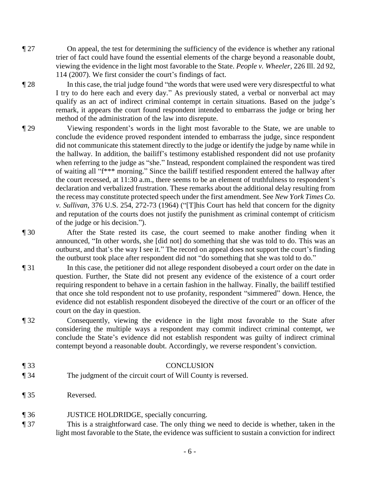- ¶ 27 On appeal, the test for determining the sufficiency of the evidence is whether any rational trier of fact could have found the essential elements of the charge beyond a reasonable doubt, viewing the evidence in the light most favorable to the State. *People v. Wheeler*, 226 Ill. 2d 92, 114 (2007). We first consider the court's findings of fact.
- ¶ 28 In this case, the trial judge found "the words that were used were very disrespectful to what I try to do here each and every day." As previously stated, a verbal or nonverbal act may qualify as an act of indirect criminal contempt in certain situations. Based on the judge's remark, it appears the court found respondent intended to embarrass the judge or bring her method of the administration of the law into disrepute.
- ¶ 29 Viewing respondent's words in the light most favorable to the State, we are unable to conclude the evidence proved respondent intended to embarrass the judge, since respondent did not communicate this statement directly to the judge or identify the judge by name while in the hallway. In addition, the bailiff's testimony established respondent did not use profanity when referring to the judge as "she." Instead, respondent complained the respondent was tired of waiting all "f\*\*\* morning." Since the bailiff testified respondent entered the hallway after the court recessed, at 11:30 a.m., there seems to be an element of truthfulness to respondent's declaration and verbalized frustration. These remarks about the additional delay resulting from the recess may constitute protected speech under the first amendment. See *New York Times Co. v. Sullivan*, 376 U.S. 254, 272-73 (1964) ("[T]his Court has held that concern for the dignity and reputation of the courts does not justify the punishment as criminal contempt of criticism of the judge or his decision.").
- ¶ 30 After the State rested its case, the court seemed to make another finding when it announced, "In other words, she [did not] do something that she was told to do. This was an outburst, and that's the way I see it." The record on appeal does not support the court's finding the outburst took place after respondent did not "do something that she was told to do."
- ¶ 31 In this case, the petitioner did not allege respondent disobeyed a court order on the date in question. Further, the State did not present any evidence of the existence of a court order requiring respondent to behave in a certain fashion in the hallway. Finally, the bailiff testified that once she told respondent not to use profanity, respondent "simmered" down. Hence, the evidence did not establish respondent disobeyed the directive of the court or an officer of the court on the day in question.
- ¶ 32 Consequently, viewing the evidence in the light most favorable to the State after considering the multiple ways a respondent may commit indirect criminal contempt, we conclude the State's evidence did not establish respondent was guilty of indirect criminal contempt beyond a reasonable doubt. Accordingly, we reverse respondent's conviction.
- ¶ 33 CONCLUSION
- ¶ 34 The judgment of the circuit court of Will County is reversed.
- ¶ 35 Reversed.
- ¶ 36 JUSTICE HOLDRIDGE, specially concurring.
- ¶ 37 This is a straightforward case. The only thing we need to decide is whether, taken in the light most favorable to the State, the evidence was sufficient to sustain a conviction for indirect